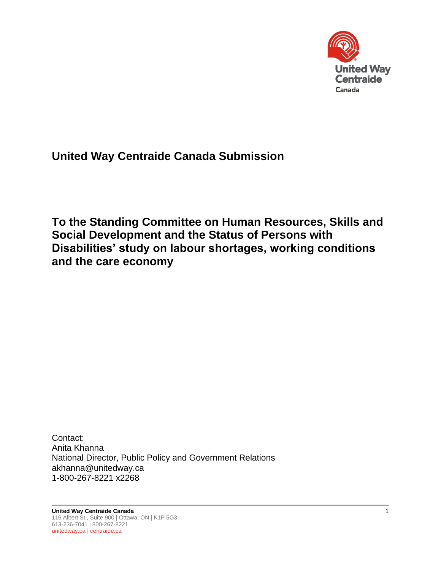

**United Way Centraide Canada Submission** 

**To the Standing Committee on Human Resources, Skills and Social Development and the Status of Persons with Disabilities' study on labour shortages, working conditions and the care economy**

Contact: Anita Khanna National Director, Public Policy and Government Relations akhanna@unitedway.ca 1-800-267-8221 x2268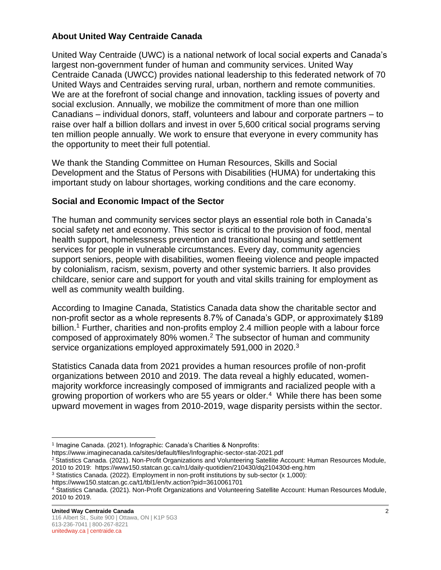# **About United Way Centraide Canada**

United Way Centraide (UWC) is a national network of local social experts and Canada's largest non-government funder of human and community services. United Way Centraide Canada (UWCC) provides national leadership to this federated network of 70 United Ways and Centraides serving rural, urban, northern and remote communities. We are at the forefront of social change and innovation, tackling issues of poverty and social exclusion. Annually, we mobilize the commitment of more than one million Canadians – individual donors, staff, volunteers and labour and corporate partners – to raise over half a billion dollars and invest in over 5,600 critical social programs serving ten million people annually. We work to ensure that everyone in every community has the opportunity to meet their full potential.

We thank the Standing Committee on Human Resources, Skills and Social Development and the Status of Persons with Disabilities (HUMA) for undertaking this important study on labour shortages, working conditions and the care economy.

# **Social and Economic Impact of the Sector**

The human and community services sector plays an essential role both in Canada's social safety net and economy. This sector is critical to the provision of food, mental health support, homelessness prevention and transitional housing and settlement services for people in vulnerable circumstances. Every day, community agencies support seniors, people with disabilities, women fleeing violence and people impacted by colonialism, racism, sexism, poverty and other systemic barriers. It also provides childcare, senior care and support for youth and vital skills training for employment as well as community wealth building.

According to Imagine Canada, Statistics Canada data show the charitable sector and non-profit sector as a whole represents 8.7% of Canada's GDP, or approximately \$189 billion.<sup>1</sup> Further, charities and non-profits employ 2.4 million people with a labour force composed of approximately 80% women.<sup>2</sup> The subsector of human and community service organizations employed approximately 591,000 in 2020.<sup>3</sup>

Statistics Canada data from 2021 provides a human resources profile of non-profit organizations between 2010 and 2019. The data reveal a highly educated, womenmajority workforce increasingly composed of immigrants and racialized people with a growing proportion of workers who are 55 years or older.<sup>4</sup> While there has been some upward movement in wages from 2010-2019, wage disparity persists within the sector.

https://www.imaginecanada.ca/sites/default/files/Infographic-sector-stat-2021.pdf

https://www150.statcan.gc.ca/t1/tbl1/en/tv.action?pid=3610061701

<sup>&</sup>lt;sup>1</sup> Imagine Canada. (2021). Infographic: Canada's Charities & Nonprofits:

<sup>2</sup> Statistics Canada. (2021). Non-Profit Organizations and Volunteering Satellite Account: Human Resources Module, 2010 to 2019: https://www150.statcan.gc.ca/n1/daily-quotidien/210430/dq210430d-eng.htm

 $3$  Statistics Canada. (2022). Employment in non-profit institutions by sub-sector  $(x 1,000)$ :

<sup>4</sup> Statistics Canada. (2021). Non-Profit Organizations and Volunteering Satellite Account: Human Resources Module, 2010 to 2019.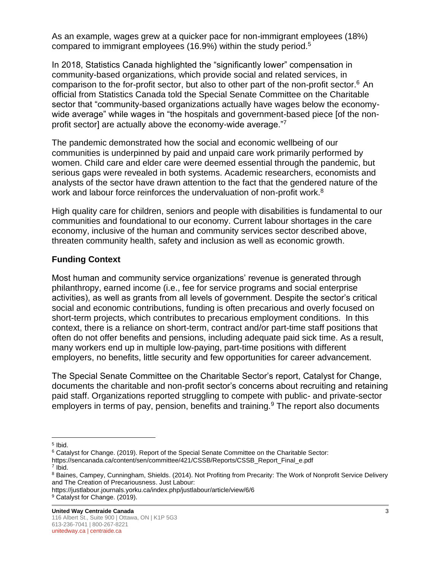As an example, wages grew at a quicker pace for non-immigrant employees (18%) compared to immigrant employees (16.9%) within the study period.<sup>5</sup>

In 2018, Statistics Canada highlighted the "significantly lower" compensation in community-based organizations, which provide social and related services, in comparison to the for-profit sector, but also to other part of the non-profit sector.<sup>6</sup> An official from Statistics Canada told the Special Senate Committee on the Charitable sector that "community-based organizations actually have wages below the economywide average" while wages in "the hospitals and government-based piece [of the nonprofit sector] are actually above the economy-wide average."<sup>7</sup>

The pandemic demonstrated how the social and economic wellbeing of our communities is underpinned by paid and unpaid care work primarily performed by women. Child care and elder care were deemed essential through the pandemic, but serious gaps were revealed in both systems. Academic researchers, economists and analysts of the sector have drawn attention to the fact that the gendered nature of the work and labour force reinforces the undervaluation of non-profit work.<sup>8</sup>

High quality care for children, seniors and people with disabilities is fundamental to our communities and foundational to our economy. Current labour shortages in the care economy, inclusive of the human and community services sector described above, threaten community health, safety and inclusion as well as economic growth.

## **Funding Context**

Most human and community service organizations' revenue is generated through philanthropy, earned income (i.e., fee for service programs and social enterprise activities), as well as grants from all levels of government. Despite the sector's critical social and economic contributions, funding is often precarious and overly focused on short-term projects, which contributes to precarious employment conditions. In this context, there is a reliance on short-term, contract and/or part-time staff positions that often do not offer benefits and pensions, including adequate paid sick time. As a result, many workers end up in multiple low-paying, part-time positions with different employers, no benefits, little security and few opportunities for career advancement.

The Special Senate Committee on the Charitable Sector's report, Catalyst for Change, documents the charitable and non-profit sector's concerns about recruiting and retaining paid staff. Organizations reported struggling to compete with public- and private-sector employers in terms of pay, pension, benefits and training.<sup>9</sup> The report also documents

<sup>&</sup>lt;sup>5</sup> Ibid.

<sup>6</sup> Catalyst for Change. (2019). Report of the Special Senate Committee on the Charitable Sector:

https://sencanada.ca/content/sen/committee/421/CSSB/Reports/CSSB\_Report\_Final\_e.pdf 7 Ibid.

<sup>&</sup>lt;sup>8</sup> Baines, Campey, Cunningham, Shields. (2014). Not Profiting from Precarity: The Work of Nonprofit Service Delivery and The Creation of Precariousness. Just Labour:

https://justlabour.journals.yorku.ca/index.php/justlabour/article/view/6/6 <sup>9</sup> Catalyst for Change. (2019).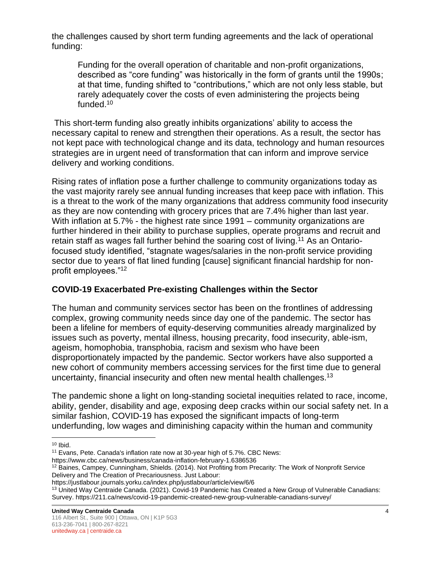the challenges caused by short term funding agreements and the lack of operational funding:

Funding for the overall operation of charitable and non-profit organizations, described as "core funding" was historically in the form of grants until the 1990s; at that time, funding shifted to "contributions," which are not only less stable, but rarely adequately cover the costs of even administering the projects being funded.<sup>10</sup>

This short-term funding also greatly inhibits organizations' ability to access the necessary capital to renew and strengthen their operations. As a result, the sector has not kept pace with technological change and its data, technology and human resources strategies are in urgent need of transformation that can inform and improve service delivery and working conditions.

Rising rates of inflation pose a further challenge to community organizations today as the vast majority rarely see annual funding increases that keep pace with inflation. This is a threat to the work of the many organizations that address community food insecurity as they are now contending with grocery prices that are 7.4% higher than last year. With inflation at 5.7% - the highest rate since 1991 – community organizations are further hindered in their ability to purchase supplies, operate programs and recruit and retain staff as wages fall further behind the soaring cost of living.<sup>11</sup> As an Ontariofocused study identified, "stagnate wages/salaries in the non-profit service providing sector due to years of flat lined funding [cause] significant financial hardship for nonprofit employees."<sup>12</sup>

# **COVID-19 Exacerbated Pre-existing Challenges within the Sector**

The human and community services sector has been on the frontlines of addressing complex, growing community needs since day one of the pandemic. The sector has been a lifeline for members of equity-deserving communities already marginalized by issues such as poverty, mental illness, housing precarity, food insecurity, able-ism, ageism, homophobia, transphobia, racism and sexism who have been disproportionately impacted by the pandemic. Sector workers have also supported a new cohort of community members accessing services for the first time due to general uncertainty, financial insecurity and often new mental health challenges.<sup>13</sup>

The pandemic shone a light on long-standing societal inequities related to race, income, ability, gender, disability and age, exposing deep cracks within our social safety net. In a similar fashion, COVID-19 has exposed the significant impacts of long-term underfunding, low wages and diminishing capacity within the human and community

 $10$  Ibid.

<sup>11</sup> Evans, Pete. Canada's inflation rate now at 30-year high of 5.7%. CBC News:

https://www.cbc.ca/news/business/canada-inflation-february-1.6386536

<sup>12</sup> Baines, Campey, Cunningham, Shields. (2014). Not Profiting from Precarity: The Work of Nonprofit Service Delivery and The Creation of Precariousness. Just Labour:

https://justlabour.journals.yorku.ca/index.php/justlabour/article/view/6/6

<sup>&</sup>lt;sup>13</sup> United Way Centraide Canada. (2021). Covid-19 Pandemic has Created a New Group of Vulnerable Canadians: Survey. https://211.ca/news/covid-19-pandemic-created-new-group-vulnerable-canadians-survey/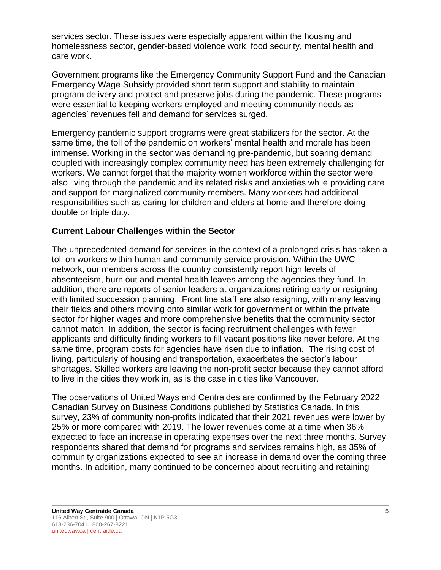services sector. These issues were especially apparent within the housing and homelessness sector, gender-based violence work, food security, mental health and care work.

Government programs like the Emergency Community Support Fund and the Canadian Emergency Wage Subsidy provided short term support and stability to maintain program delivery and protect and preserve jobs during the pandemic. These programs were essential to keeping workers employed and meeting community needs as agencies' revenues fell and demand for services surged.

Emergency pandemic support programs were great stabilizers for the sector. At the same time, the toll of the pandemic on workers' mental health and morale has been immense. Working in the sector was demanding pre-pandemic, but soaring demand coupled with increasingly complex community need has been extremely challenging for workers. We cannot forget that the majority women workforce within the sector were also living through the pandemic and its related risks and anxieties while providing care and support for marginalized community members. Many workers had additional responsibilities such as caring for children and elders at home and therefore doing double or triple duty.

## **Current Labour Challenges within the Sector**

The unprecedented demand for services in the context of a prolonged crisis has taken a toll on workers within human and community service provision. Within the UWC network, our members across the country consistently report high levels of absenteeism, burn out and mental health leaves among the agencies they fund. In addition, there are reports of senior leaders at organizations retiring early or resigning with limited succession planning. Front line staff are also resigning, with many leaving their fields and others moving onto similar work for government or within the private sector for higher wages and more comprehensive benefits that the community sector cannot match. In addition, the sector is facing recruitment challenges with fewer applicants and difficulty finding workers to fill vacant positions like never before. At the same time, program costs for agencies have risen due to inflation. The rising cost of living, particularly of housing and transportation, exacerbates the sector's labour shortages. Skilled workers are leaving the non-profit sector because they cannot afford to live in the cities they work in, as is the case in cities like Vancouver.

The observations of United Ways and Centraides are confirmed by the February 2022 Canadian Survey on Business Conditions published by Statistics Canada. In this survey, 23% of community non-profits indicated that their 2021 revenues were lower by 25% or more compared with 2019. The lower revenues come at a time when 36% expected to face an increase in operating expenses over the next three months. Survey respondents shared that demand for programs and services remains high, as 35% of community organizations expected to see an increase in demand over the coming three months. In addition, many continued to be concerned about recruiting and retaining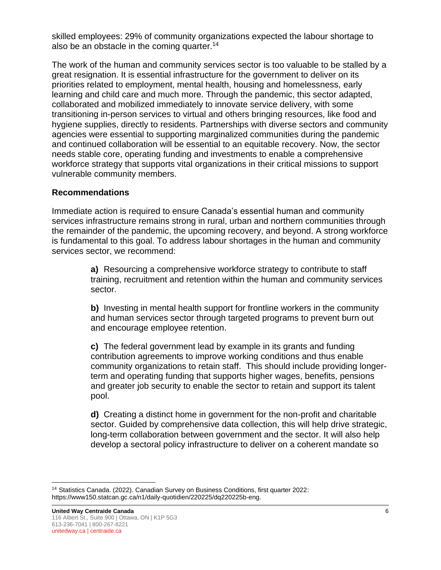skilled employees: 29% of community organizations expected the labour shortage to also be an obstacle in the coming quarter.<sup>14</sup>

The work of the human and community services sector is too valuable to be stalled by a great resignation. It is essential infrastructure for the government to deliver on its priorities related to employment, mental health, housing and homelessness, early learning and child care and much more. Through the pandemic, this sector adapted, collaborated and mobilized immediately to innovate service delivery, with some transitioning in-person services to virtual and others bringing resources, like food and hygiene supplies, directly to residents. Partnerships with diverse sectors and community agencies were essential to supporting marginalized communities during the pandemic and continued collaboration will be essential to an equitable recovery. Now, the sector needs stable core, operating funding and investments to enable a comprehensive workforce strategy that supports vital organizations in their critical missions to support vulnerable community members.

#### **Recommendations**

Immediate action is required to ensure Canada's essential human and community services infrastructure remains strong in rural, urban and northern communities through the remainder of the pandemic, the upcoming recovery, and beyond. A strong workforce is fundamental to this goal. To address labour shortages in the human and community services sector, we recommend:

> **a)** Resourcing a comprehensive workforce strategy to contribute to staff training, recruitment and retention within the human and community services sector.

**b)** Investing in mental health support for frontline workers in the community and human services sector through targeted programs to prevent burn out and encourage employee retention.

**c)** The federal government lead by example in its grants and funding contribution agreements to improve working conditions and thus enable community organizations to retain staff. This should include providing longerterm and operating funding that supports higher wages, benefits, pensions and greater job security to enable the sector to retain and support its talent pool.

**d)** Creating a distinct home in government for the non-profit and charitable sector. Guided by comprehensive data collection, this will help drive strategic, long-term collaboration between government and the sector. It will also help develop a sectoral policy infrastructure to deliver on a coherent mandate so

<sup>14</sup> Statistics Canada. (2022). Canadian Survey on Business Conditions, first quarter 2022: https://www150.statcan.gc.ca/n1/daily-quotidien/220225/dq220225b-eng.